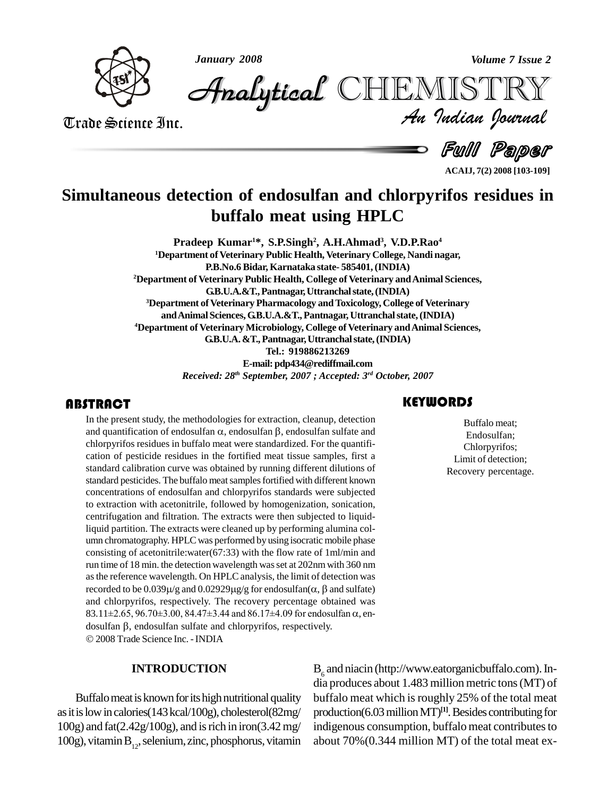



*Volume 7 Issue 2*<br>IISTRY<br>Indian Iournal CHEMISTRY

Trade Science Inc. Trade Science Inc.

**Full Paper** 

**ACAIJ, 7(2) 2008 [103-109]**

## **Simultaneous detection of endosulfan and chlorpyrifos residues in buffalo meat using HPLC**

**Pradeep Kumar <sup>1</sup>\*, S.P.Singh 2 , A.H.Ahmad 3 , V.D.P.Rao 4 <sup>1</sup>Department ofVeterinary Public Health, Veterinary College, Nandi nagar, P.B.No.6 Bidar, Karnataka state- 585401,(INDIA) <sup>2</sup>Department of Veterinary Public Health, College of Veterinary andAnimal Sciences, G.B.U.A.&T.,Pantnagar,Uttranchalstate,(INDIA) <sup>3</sup>Department ofVeterinary Pharmacology andToxicology, College of Veterinary andAnimalSciences,G.B.U.A.&T.,Pantnagar, Uttranchalstate,(INDIA) <sup>4</sup>Department of Veterinary Microbiology, College of Veterinary andAnimal Sciences, G.B.U.A.&T.,Pantnagar,Uttranchalstate,(INDIA) Tel.: 919886213269 E-mail:[pdp434@rediffmail.com](mailto:pdp434@rediffmail.com)** *Received: 28 th September, 2007 ; Accepted: 3 rd October, 2007*

In the present study, the methodologies for extraction, cleanup, detection<br>and quantification of endosulfan  $\alpha$ , endosulfan  $\beta$ , endosulfan sulfate and<br>chlorpyrifos residues in buffalo meat were standardized. For the qu **ITRACT**<br>In the present study, the methodologies for extraction, cleanup, detection<br>and quantification of endosulfan  $\alpha$ , endosulfan  $\beta$ , endosulfan sulfate and chlorpyrifos residues in buffalo meat were standardized. For the quantifi cation of pesticide residues in the fortified meat tissue samples, first a standard calibration curve was obtained by running different dilutions of standard pesticides. The buffalo meat samples fortified with different known concentrations of endosulfan and chlorpyrifos standards were subjected to extraction with acetonitrile, followed by homogenization, sonication, centrifugation and filtration. The extracts were then subjected to liquidliquid partition. The extracts were cleaned up by performing alumina col umn chromatography. HPLC was performed by using isocratic mobile phase consisting of acetonitrile:water(67:33) with the flow rate of 1ml/min and run time of 18 min. the detection wavelength wasset at 202nmwith 360 nm as the reference wavelength. On HPLC analysis, the limit of detection was run time of 18 min. the detection wavelength was set at 202nm with 360 nm<br>as the reference wavelength. On HPLC analysis, the limit of detection was<br>recorded to be  $0.039\mu/g$  and  $0.02929\mu g/g$  for endosulfan( $\alpha$ ,  $\beta$  and and chlorpyrifos, respectively. The recovery percentage obtained was recorded to be  $0.039\mu/g$  and  $0.02929\mu g/g$  for endosulfan( $\alpha$ ,  $\beta$  and sulfate)<br>and chlorpyrifos, respectively. The recovery percentage obtained was<br>83.11±2.65, 96.70±3.00, 84.47±3.44 and 86.17±4.09 for endosulfan  $\alpha$ and chlorpyrifos, respectively. The recovery percentage obtaine  $83.11 \pm 2.65$ ,  $96.70 \pm 3.00$ ,  $84.47 \pm 3.44$  and  $86.17 \pm 4.09$  for endosulfan dosulfan  $\beta$ , endosulfan sulfate and chlorpyrifos, respectively. 2008Trade Science Inc. -INDIA

### **INTRODUCTION**

Buffalo meat is known for its high nutritional quality as it is low in calories(143 kcal/100g), cholesterol(82mg/ 100g) and fat(2.42g/100g), and isrich in iron(3.42mg/ 100g), vitamin  $B_{12}$ , selenium, zinc, phosphorus, vitamin about

Extracted the Buffalo meat<br>Endosulfan;<br>Chlorpyrifos Buffalo meat; Endosulfan; Chlorpyrifos; Limit of detection; Recovery percentage.

 $B_6$  and niacin (http://www.eatorganicbuffalo.com). In-<br>dia produces about 1.483 million metric tons (MT) of buffalo meat which is roughly 25% of the total meat production(6.03 million MT)<sup>[1]</sup>. Besides contributing for indigenous consumption, buffalo meat contributes to about 70%(0.344 million MT) of the total meat ex-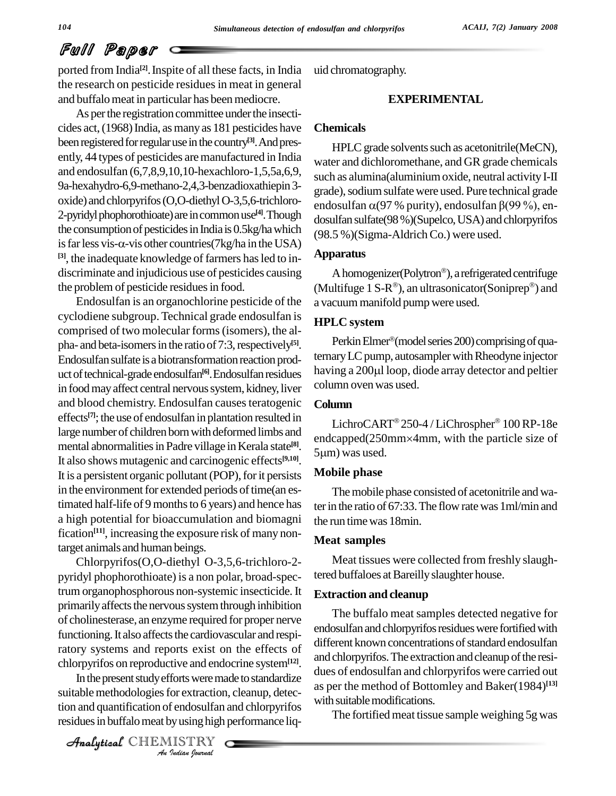ported from India<sup>[2]</sup>. Inspite of all these facts, in India uid ch the research on pesticide residues in meat in general and buffalo meat in particular has been mediocre.

As per the registration committee under the insecticides act,(1968)India, asmanyas 181 pesticides have been registered for regular use in the country<sup>[3]</sup>. And presently, 44 types of pesticides aremanufactured in India and endosulfan (6,7,8,9,10,10-hexachloro-1,5,5a,6,9, 9a-hexahydro-6,9-methano-2,4,3-benzadioxathiepin3 oxide) and chlorpyrifos (O,O-diethyl O-3,5,6-trichloro-<br>endosultan  $\alpha$ (97 % purity), endosultan  $\beta$ (99 %), en-2-pyridyl phophorothioate) are in common use<sup>[4]</sup>. Though dosulfa<br>the consumption of pesticides in India is 0.5kg/ha which (98.5 %)<br>is far less vis- $\alpha$ -vis other countries(7kg/ha in the USA) the consumption of pesticides in India is 0.5kg/ha which **[3]**, the inadequate knowledge of farmers hasled to in-discriminate and injudicious use of pesticides causing the problem of pesticide residues in food.

Endosulfan is an organochlorine pesticide of the cyclodiene subgroup. Technical grade endosulfan is comprised of two molecular forms(isomers), the al pha- and beta-isomers in the ratio of 7:3, respectively<sup>[5]</sup>. Endosulfan sulfate is a biotransformation reaction prod-<br>uct of technical-grade endosulfan<sup>[6]</sup> Endosulfan residues having a 200µl loop, diode array detector and peltier uct of technical-grade endosulfan<sup>[6]</sup>. Endosulfan residues havi in food may affect central nervous system, kidney, liver and blood chemistry. Endosulfan causes teratogenic effects<sup>[7]</sup>; the use of endosulfan in plantation resulted in large number of children born with deformed limbs and mental abnormalities in Padre village in Kerala state<sup>[8]</sup>. It also shows mutagenic and carcinogenic effects **[9,10]**. It is a persistent organic pollutant (POP), for it persists in the environment for extended periods of time(an estimated half-life of 9 months to 6 years) and hence has a high potential for bioaccumulation and biomagni fication<sup>[11]</sup>, increasing the exposure risk of many nontarget animals and human beings.

chlorpyrifos on reproductive and endocrine system<sup>[12]</sup>.  $\frac{dP}{dr}$ Chlorpyrifos(O,O-diethyl O-3,5,6-trichloro-2 pyridyl phophorothioate) is a non polar, broad-spectrum organophosphorous non-systemic insecticide.It primarily affects the nervous system through inhibition of cholinesterase, an enzyme required for proper nerve functioning. It also affects the cardiovascular and respiratory systems and reports exist on the effects of

*Indian*<br>*Indian*<br>*Indiana*<br>*I ISTRY*<br>*IISTRY* In the present study efforts were made to standardize dues of suitable methodologies for extraction, cleanup, detection and quantification of endosulfan and chlorpyrifos residues in buffalo meat by using high performance liq-

CHEMISTRY

uid chromatography.

### **EXPERIMENTAL**

### **Chemicals**

HPLC grade solvents such as acetonitrile(MeCN), water and dichloromethane, and GR grade chemicals such as alumina(aluminium oxide, neutral activity I-II grade), sodium sulfate were used. Pure technical grade such as alumina(aluminium oxide, neutral activity I-II<br>grade), sodium sulfate were used. Pure technical grade<br>endosulfan  $\alpha$ (97 % purity), endosulfan  $\beta$ (99 %), endosulfan sulfate(98 %)(Supelco, USA) and chlorpyrifos (98.5 %)(Sigma-Aldrich Co.) were used.

### **Apparatus**

A homogenizer(Polytron®), a refrigerated centrifuge (Multifuge 1 S-R ), an ultrasonicator(Soniprep ) and a vacuum manifold pump were used.

### **HPLC system**

**LC system**<br>Perkin Elmer®(model series 200) comprising of quaternary LC pump, autosampler with Rheodyne injector Perkin Elmer®(model series 200) comprising of qua-<br>ternary LC pump, autosampler with Rheodyne injector<br>having a 200µl loop, diode array detector and peltier column ovenwas used.

### **Column**

umn<br>LichroCART® 250-4 / LiChrospher® 100 RP-18e Column<br>LichroCART®250-4/LiChrospher®100 RP-18e<br>endcapped(250mm×4mm, with the particle size of LichroCART®2:<br>endcapped(250mm><br>5µm) was used.

### **Mobile phase**

The mobile phase consisted of acetonitrile and water in the ratio of 67:33. The flow rate was 1ml/min and the run timewas 18min.

### **Meat samples**

Meat tissues were collected from freshly slaughtered buffaloes at Bareilly slaughter house.

### **Extraction and cleanup**

The buffalo meat samples detected negative for endosulfan and chlorpyrifos residues were fortified with different known concentrations of standard endosulfan and chlorpyrifos. The extraction and cleanup of the residues of endosulfan and chlorpyrifos were carried out as per the method of Bottomley and Baker(1984) **[13]** with suitable modifications.

The fortified meat tissue sample weighing 5g was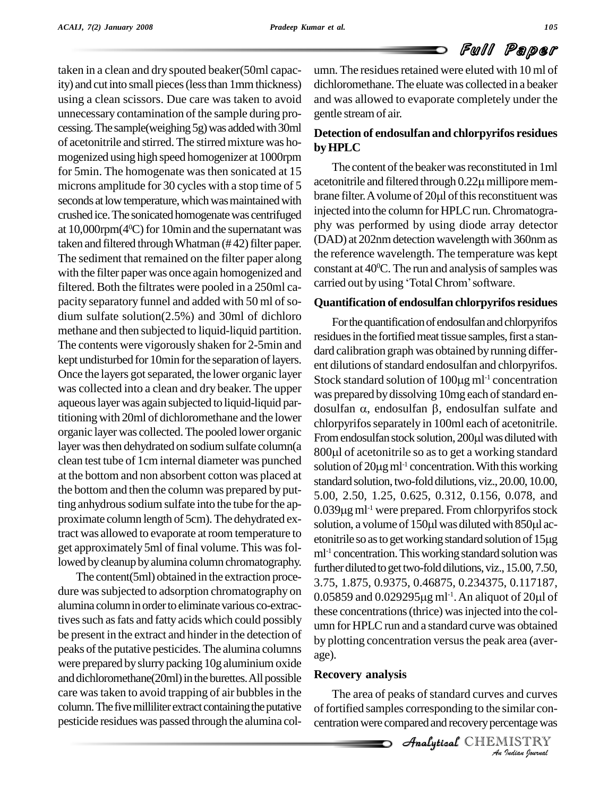taken in a clean and dry spouted beaker(50ml capacity) and cutinto small pieces(lessthan 1mmthickness) using a clean scissors. Due care was taken to avoid unnecessary contamination of the sample during processing. The sample(weighing 5g) was added with 30ml of acetonitrile and stirred. The stirred mixture was homogenized using high speed homogenizer at 1000rpm for 5min. The homogenate was then sonicated at 15 microns amplitude for 30 cycles with a stop time of 5<br>seconds at low temperature, which was maintained with brane filter. A volume of 20 ul of this reconstituent was seconds at low temperature, which was maintained with crushed ice.The sonicated homogenatewas centrifuged at 10,000 rpm( $4^{\circ}$ C) for 10 min and the supernatant was  $\frac{pny}{p}$ taken and filtered through Whatman  $(\# 42)$  filter paper. The sediment that remained on the filter paper along with the filter paper was once again homogenized and<br>filtered Both the filtrates were pooled in a 250ml can carried out by using 'Total Chrom' software. filtered. Both the filtrates were pooled in a 250ml ca pacity separatory funnel and added with 50 ml of sodium sulfate solution(2.5%) and 30ml of dichloro methane and then subjected to liquid-liquid partition. The contents were vigorously shaken for 2-5min and kept undisturbed for 10min for the separation of layers. Once the layers got separated, the lower organic layer was collected into a clean and dry beaker. The upper aqueouslayerwas again subjected to liquid-liquid partitioning with 20ml of dichloromethane and the lower organic layer was collected. The pooled lower organic From endosulfan stock solution, 200µl was diluted with layer was then dehydrated on sodium sulfate column(a clean test tube of 1cm internal diameter was punched at the bottom and non absorbent cotton was placed at the bottom and then the column was prepared by putting anhydrous sodium sulfate into the tube for the approximate column length of 5cm). The dehydrated ex-<br>solution, a volume of 150µl was diluted with 850µl actract was allowed to evaporate at room temperature to<br>etonitrile so as to get working standard solution of 15µg get approximately 5ml of final volume. This was followed by cleanup by alumina column chromatography.

The content(5ml) obtained in the extraction proce dure was subjected to adsorption chromatography on alumina column in order to eliminate various co-extractives such as fats and fatty acids which could possibly be present in the extract and hinder in the detection of peaks of the putative pesticides. The alumina columns were prepared by slurry packing 10g aluminium oxide and dichloromethane(20ml) in the burettes. All possible care was taken to avoid trapping of air bubbles in the column. The five milliliter extract containing the putative pesticide residueswas passed through the alumina column. The residues retained were eluted with 10 ml of dichloromethane.The eluate was collected in a beaker and was allowed to evaporate completely under the gentle streamof air.

### **Detection of endosulfan and chlorpyrifos residues byHPLC**

The content of the beaker was reconstituted in 1ml **by HPLC**<br>The content of the beaker was reconstituted in 1ml<br>acetonitrile and filtered through  $0.22\mu$  millipore mem-The content of the beaker was reconstituted in 1ml<br>acetonitrile and filtered through  $0.22\mu$  millipore mem-<br>brane filter. A volume of  $20\mu$  of this reconstituent was injected into the column for HPLC run. Chromatography was performed by using diode array detector (DAD) at 202nmdetection wavelength with 360nmas the reference wavelength. The temperature was kept<br>constant at 40<sup>o</sup>C. The run and analysis of samples was<br>carried out by using 'Total Chrom' software. constant at  $40^{\circ}$ C. The run and analysis of samples was

### **Quantification of endosulfan chlorpyrifos residues**

For the quantification of endosulfan and chlorpyrifos residues in the fortified meat tissue samples, first a standard calibration graph was obtained by running differ-<br>ent dilutions of standard endosulfan and chlorpyrifos.<br>Stock standard solution of 100µg ml<sup>-1</sup> concentration ent dilutions of standard endosulfan and chlorpyrifos. Stock standard solution of  $100\mu g$  ml<sup>-1</sup> concentration was prepared by dissolving 10mg each of standard en-Stock standard solution of 100µg ml<sup>-1</sup> concentration<br>was prepared by dissolving 10mg each of standard en-<br>dosulfan  $\alpha$ , endosulfan  $\beta$ , endosulfan sulfate and chlorpyrifos separately in 100ml each of acetonitrile.<br>From endosulfan stock solution, 200µl was diluted with<br>800µl of acetonitrile so as to get a working standard dosulfan  $\alpha$ , endosulfan  $\beta$ , endosulfan sulfate and<br>chlorpyrifos separately in 100ml each of acetonitrile.<br>From endosulfan stock solution, 200µl was diluted with 800µl of acetonitrile so as to get a working standard solution of  $20\mu$ g m<sup>-1</sup> concentration. With this working standard solution, two-fold dilutions, viz., 20.00, 10.00, 5.00, 2.50, 1.25, 0.625, 0.312, 0.156, 0.078, and standard solution, two-fold dilutions, viz., 20.00, 10.00,<br>5.00, 2.50, 1.25, 0.625, 0.312, 0.156, 0.078, and<br>0.039µg ml<sup>-1</sup> were prepared. From chlorpyrifos stock 5.00, 2.50, 1.25, 0.625, 0.312, 0.156, 0.078, and<br>0.039 $\mu$ g ml<sup>-1</sup> were prepared. From chlorpyrifos stock<br>solution, a volume of 150 $\mu$ l was diluted with 850 $\mu$ l ac-0.039 $\mu$ g ml<sup>-1</sup> were prepared. From chlorpyrifos stock<br>solution, a volume of 150 $\mu$ l was diluted with 850 $\mu$ l ac-<br>etonitrile so as to get working standard solution of 15 $\mu$ g ml -1 concentration.Thisworking standard solutionwas further diluted to get two-fold dilutions, viz., 15.00, 7.50,<br>3.75, 1.875, 0.9375, 0.46875, 0.234375, 0.117187,<br>0.05859 and 0.029295μg ml<sup>-1</sup>. An aliquot of 20μl of 3.75, 1.875, 0.9375, 0.46875, 0.234375, 0.117187, 0.05859 and 0.029295 $\mu$ g ml<sup>-1</sup>. An aliquot of 20 $\mu$ l of these concentrations(thrice) wasinjected into the col umn for HPLC run and a standard curve was obtained by plotting concentration versus the peak area (average).

### $\mathbf s$ **Recovery analysis**

*Indian*<br>*Indian*<br>*IISTRY*<br>*Indian bournal* The area of peaks of standard curves and curves of fortified samples corresponding to the similar concentration were compared and recovery percentage was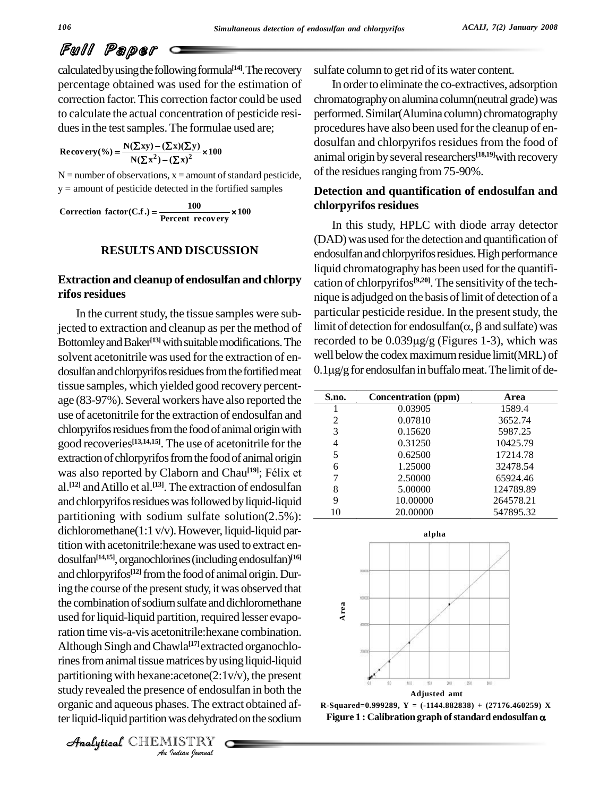calculated by using the following formula<sup>[14]</sup>. The recovery sulfate percentage obtained was used for the estimation of correction factor.This correction factor could be used to calculate the actual concentration of pesticide resi dues in the test samples. The formulae used are;<br> **Recovery**(%) =  $\frac{N(\sum xy) - (\sum x)(\sum y)}{N(\sum x^2) - (\sum x)^2} \times 100$ 

$$
\text{Recovery}(\%)=\frac{N(\Sigma xy)-(\Sigma x)(\Sigma y)}{N(\Sigma x^2)-(\Sigma x)^2}\times 100
$$

 $N =$  number of observations,  $x =$  amount of standard pesticide,  $y =$  amount of pesticide detected in the fortified samples

 $y =$  amount of pesticide detected in the fortified samples<br> **Correction factor(C.f.)** =  $\frac{100}{\text{Percent recovery}} \times 100$ 

### **RESULTSAND DISCUSSION**

### **Extraction and cleanup of endosulfan and chlorpy rifos residues**

 $A$ nalytical partitioning with hexane:acetone $(2:1v/v)$ , the present *Indian*<br>*Ince of endosiness*. The extra<br>*Indian hournal* In the current study, the tissue samples were subjected to extraction and cleanup as per the method of Bottomley and Baker<sup>[13]</sup> with suitable modifications. The record solvent acetonitrile was used for the extraction of en dosulfan and chlorpyrifos residues from the fortified meat tissue samples, which yielded good recovery percent age (83-97%). Several workers have also reported the use of acetonitrile for the extraction of endosulfan and chlorpyrifos residues from the food of animal origin with good recoveries **[13,14,15]**. The use of acetonitrile for the extraction of chlorpyrifos from the food of animal origin good recoveries<sup>[13,14,15]</sup>. The use of acetonitrile for the<br>extraction of chlorpyrifos from the food of animal origin<br>was also reported by Claborn and Chau<sup>[19]</sup>; Félix et al. **[12]** andAtillo et al. **[13]**.The extraction of endosulfan and chlorpyrifos residues was followed by liquid-liquid partitioning with sodium sulfate solution(2.5%): dichloromethane(1:1 v/v). However, liquid-liquid partition with acetonitrile:hexane was used to extract en dosulfan<sup>[14,15]</sup>, organochlorines (including endosulfan)<sup>[16]</sup> and chlorpyrifos<sup>[12]</sup> from the food of animal origin. During the course of the present study, it was observed that the combination of sodium sulfate and dichloromethane used for liquid-liquid partition, required lesser evaporation time vis-a-vis acetonitrile:hexane combination. Although Singh andChawla **[17]**extracted organochlorines from animal tissue matrices by using liquid-liquid study revealed the presence of endosulfan in both the organic and aqueous phases. The extract obtained after liquid-liquid partition was dehydrated on the sodium

CHEMISTRY

sulfate column to get rid of its water content.

In order to eliminate the co-extractives, adsorption chromatography on alumina column(neutral grade) was performed.Similar(Alumina column) chromatography procedures have also been used forthe cleanup of en dosulfan and chlorpyrifos residues from the food of animal origin by several researchers<sup>[18,19]</sup>with recovery of the residues ranging from 75-90%.

### **Detection and quantification of endosulfan and chlorpyrifos residues**

In this study, HPLC with diode array detector (DAD) was used for the detection and quantification of endosulfan and chlorpyrifos residues. High performance liquid chromatographyhas been used forthe quantifi cation of chlorpyrifos **[9,20]**. The sensitivity of the tech nique is adjudged on the basis of limit of detection of a particular pesticide residue. In the present study, the nique is adjudged on the basis of limit of detection of a<br>particular pesticide residue. In the present study, the<br>limit of detection for endosulfan( $\alpha$ ,  $\beta$  and sulfate) was particular pesticide residue. In the present study, the<br>limit of detection for endosulfan( $\alpha$ ,  $\beta$  and sulfate) was<br>recorded to be 0.039µg/g (Figures 1-3), which was well below the codex maximum residue limit(MRL) of recorded to be  $0.039\mu\text{g/g}$  (Figures 1-3), which was<br>well below the codex maximum residue limit (MRL) of<br> $0.1\mu\text{g/g}$  for endosulfan in buffalo meat. The limit of de-

| S.no. | Concentration (ppm) | Area      |
|-------|---------------------|-----------|
|       | 0.03905             | 1589.4    |
| 2     | 0.07810             | 3652.74   |
| 3     | 0.15620             | 5987.25   |
| 4     | 0.31250             | 10425.79  |
| 5     | 0.62500             | 17214.78  |
| 6     | 1.25000             | 32478.54  |
|       | 2.50000             | 65924.46  |
| 8     | 5.00000             | 124789.89 |
| 9     | 10.00000            | 264578.21 |
| 10    | 20.00000            | 547895.32 |



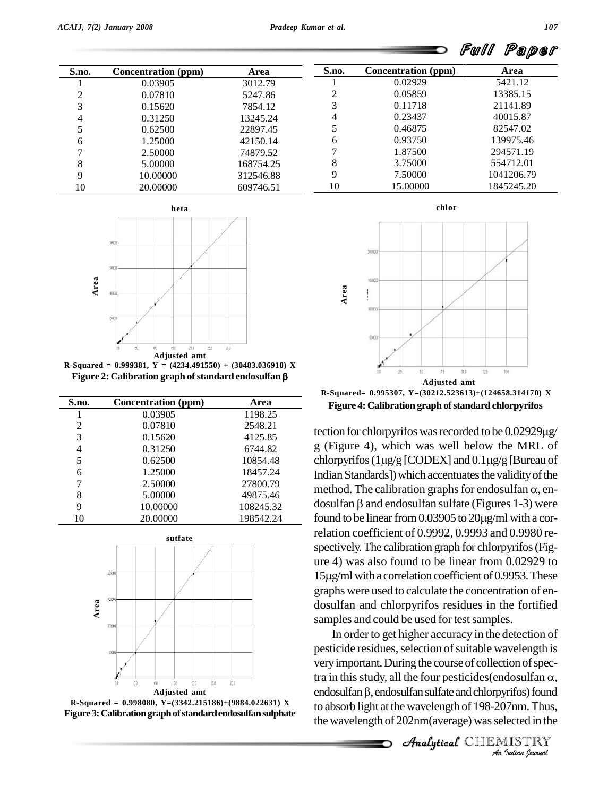| S.no. | <b>Concentration</b> (ppm) | Area      | S.no. | Concentration (ppm) | Area       |
|-------|----------------------------|-----------|-------|---------------------|------------|
|       | 0.03905                    | 3012.79   |       | 0.02929             | 5421.12    |
|       | 0.07810                    | 5247.86   |       | 0.05859             | 13385.15   |
|       | 0.15620                    | 7854.12   | 3     | 0.11718             | 21141.89   |
| 4     | 0.31250                    | 13245.24  | 4     | 0.23437             | 40015.87   |
|       | 0.62500                    | 22897.45  |       | 0.46875             | 82547.02   |
| h     | 1.25000                    | 42150.14  | 6     | 0.93750             | 139975.46  |
|       | 2.50000                    | 74879.52  |       | 1.87500             | 294571.19  |
| 8     | 5.00000                    | 168754.25 | 8     | 3.75000             | 554712.01  |
| Q     | 10.00000                   | 312546.88 | 9     | 7.50000             | 1041206.79 |
| 10    | 20.00000                   | 609746.51 | 10    | 15.00000            | 1845245.20 |



**R-Squared = 0.999381, Y = (4234.491550) + (30483.036910) X Figure 2: Calibration graph ofstandard endosulfan**

| S.no. | Concentration (ppm) | Area      |  |
|-------|---------------------|-----------|--|
|       | 0.03905             | 1198.25   |  |
| 2     | 0.07810             | 2548.21   |  |
| 3     | 0.15620             | 4125.85   |  |
| 4     | 0.31250             | 6744.82   |  |
| 5     | 0.62500             | 10854.48  |  |
| 6     | 1.25000             | 18457.24  |  |
| 7     | 2.50000             | 27800.79  |  |
| 8     | 5.00000             | 49875.46  |  |
| 9     | 10.00000            | 108245.32 |  |
| 10    | 20.00000            | 198542.24 |  |





**chlor**



Figure 4: Calibration graph of standard chlorpyrifos<br>tection for chlorpyrifos was recorded to be  $0.02929\mu$ g/ **Figure 4: Calibration graph of standard chlorpyrifos** 

g (Figure 4), which was well below the MRL of tection for chlorpyrifos was recorded to be  $0.02929\mu g$ <br>g (Figure 4), which was well below the MRL of<br>chlorpyrifos (1 $\mu g$ /g [CODEX] and  $0.1\mu g$ /g [Bureau of Indian Standards]) which accentuates the validity of the chlorpyrifos (1µg/g [CODEX] and 0.1µg/g [Bureau of<br>Indian Standards]) which accentuates the validity of the<br>method. The calibration graphs for endosulfan  $\alpha$ , en-Indian Standards]) which accentuates the validity of the<br>method. The calibration graphs for endosulfan  $\alpha$ , en-<br>dosulfan  $\beta$  and endosulfan sulfate (Figures 1-3) were method. The calibration graphs for endosulfan  $\alpha$ , endosulfan  $\beta$  and endosulfan sulfate (Figures 1-3) were found to be linear from 0.03905 to 20 $\mu$ g/ml with a correlation coefficient of 0.9992, 0.9993 and 0.9980 re spectively. The calibration graph for chlorpyrifos (Figure 4) was also found to be linear from 0.02929 to spectively. The calibration graph for chlorpyrifos (Fig-<br>ure 4) was also found to be linear from 0.02929 to<br>15µg/ml with a correlation coefficient of 0.9953. These graphs were used to calculate the concentration of en dosulfan and chlorpyrifos residues in the fortified samples and could be used for test samples.

very important. During the course of collection of spectra in this study, all the four pesticides(endosulfan α,<br>endosulfan β, endosulfan sulfate and chlorpyrifos) found *Indian Ω*,<br>*Indian Ω*,<br>*Indian Indian*<br>*IISTRY*<br>*Indian Iournal* tra in this study, all the four pesticides (endosulfan  $\alpha$ , In order to get higher accuracy in the detection of pesticide residues, selection of suitable wavelength is<br>very important. During the course of collection of spec-<br>tra in this study, all the four pesticides(endosulfan  $\alpha$ , to absorb light at the wavelength of 198-207nm.Thus, the wavelength of 202nm(average) was selected in the

CHEMISTRY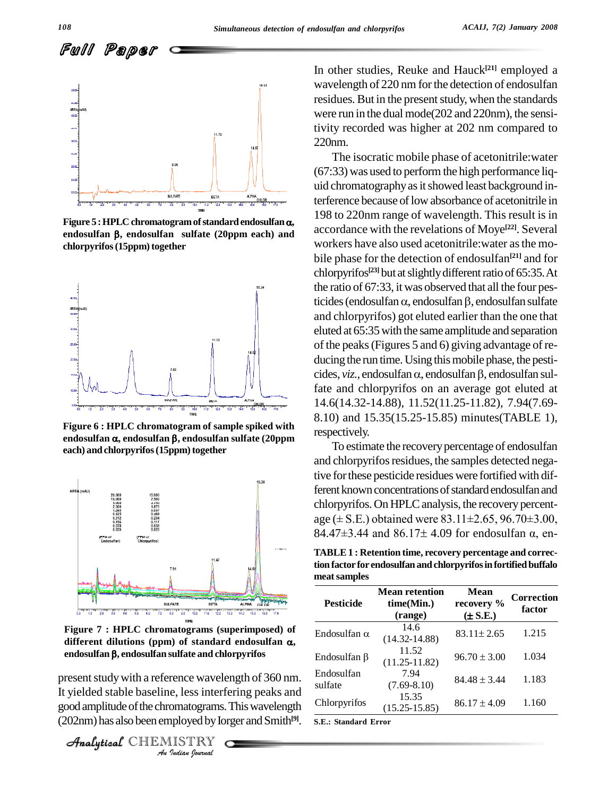

**endosulfan , endosulfan sulfate (20ppm each) and** chlorpyrifos (15ppm) together



**Figure 6 : HPLC chromatogram of sample spiked with endosulfan , endosulfan , endosulfan sulfate (20ppm each**) and **chlorpyrifos** (15ppm) together



**Figure 7 : HPLC chromatograms (superimposed) of different dilutions (ppm)** of standard endosulfan  $\alpha$ , **endosulfan , endosulfan sulfate and chlorpyrifos**

**Indian**<br>**Indianal Property Conduct**<br>**I**ndian bournal<br>*I*ndian bournal present study with a reference wavelength of 360 nm.  $\frac{En}{1}$ It yielded stable baseline, less interfering peaks and sunate goodamplitudeofthe chromatograms.Thiswavelength (202nm) has also been employed by Iorger and Smith<sup>[9]</sup>. s.E.: s

CHEMISTRY

In other studies, Reuke and Hauck **[21]** employed a wavelength of 220 nm for the detection of endosulfan residues. But in the present study, when the standards were run in the dual mode(202 and 220nm), the sensitivity recorded was higher at 202 nm compared to 220nm.

The isocratic mobile phase of acetonitrile:water (67:33) was used to perform the high performance liq uid chromatography as it showed least background interference because of low absorbance of acetonitrile in 198 to 220nm range of wavelength. This result is in accordance with the revelations of Moye **[22]**. Several workers have also used acetonitrile:water asthe mo bile phase for the detection of endosulfan **[21]** and for chlorpyrifos<sup>[23]</sup> but at slightly different ratio of 65:35. At<br>the ratio of 67:33, it was observed that all the four pes-<br>ticides (endosulfan  $\alpha$ , endosulfan  $\beta$ , endosulfan sulfate the ratio of 67:33, it was observed that all the four pesand chlorpyrifos) got eluted earlier than the one that eluted at 65:35with the same amplitude and separation of the peaks (Figures 5 and 6) giving advantage of re-<br>ducing the run time. Using this mobile phase, the pesti-<br>cides, *viz.*, endosulfan  $\alpha$ , endosulfan  $\beta$ , endosulfan sulducing the run time. Using this mobile phase, the pestifate and chlorpyrifos on an average got eluted at 14.6(14.32-14.88), 11.52(11.25-11.82), 7.94(7.69- 8.10) and 15.35(15.25-15.85) minutes(TABLE 1), respectively.

To estimate the recovery percentage of endosulfan and chlorpyrifos residues, the samples detected negative forthese pesticide residues were fortified with different known concentrations of standard endosulfan and chlorpyrifos. On HPLC analysis, the recovery percentferent known concentrations of standard endosulfan and<br>chlorpyrifos. On HPLC analysis, the recovery percent-<br>age  $(\pm$  S.E.) obtained were 83.11 $\pm$ 2.65, 96.70 $\pm$ 3.00, chlorpyrifos. On HPLC analysis, the recovery percent-<br>age  $(\pm$  S.E.) obtained were 83.11 $\pm$ 2.65, 96.70 $\pm$ 3.00,<br>84.47 $\pm$ 3.44 and 86.17 $\pm$  4.09 for endosulfan  $\alpha$ , en-

**TABLE1 : Retention time,recovery percentage and correction factor for endosulfan andchlorpyrifosin fortifiedbuffalo meatsamples**

| <b>Pesticide</b>      | <b>Mean retention</b><br>time(Min.)<br>(range) | Mean<br>recovery %<br>$(\pm S.E.)$ | <b>Correction</b><br>factor |
|-----------------------|------------------------------------------------|------------------------------------|-----------------------------|
| Endosulfan $\alpha$   | 14.6<br>$(14.32 - 14.88)$                      | $83.11 \pm 2.65$                   | 1.215                       |
| Endosulfan B          | 11.52<br>$(11.25 - 11.82)$                     | $96.70 \pm 3.00$                   | 1.034                       |
| Endosulfan<br>sulfate | 7.94<br>$(7.69 - 8.10)$                        | $84.48 \pm 3.44$                   | 1.183                       |
| Chlorpyrifos          | 15.35<br>$(15.25 - 15.85)$                     | $86.17 \pm 4.09$                   | 1.160                       |

**S.E.: Standard Error**